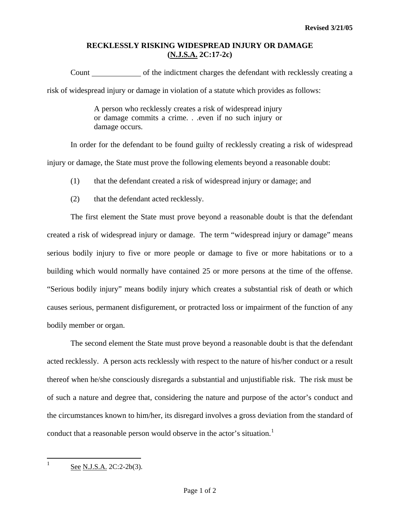## **RECKLESSLY RISKING WIDESPREAD INJURY OR DAMAGE (N.J.S.A. 2C:17-2c)**

Count only of the indictment charges the defendant with recklessly creating a risk of widespread injury or damage in violation of a statute which provides as follows:

> A person who recklessly creates a risk of widespread injury or damage commits a crime. . .even if no such injury or damage occurs.

 In order for the defendant to be found guilty of recklessly creating a risk of widespread injury or damage, the State must prove the following elements beyond a reasonable doubt:

(1) that the defendant created a risk of widespread injury or damage; and

(2) that the defendant acted recklessly.

 The first element the State must prove beyond a reasonable doubt is that the defendant created a risk of widespread injury or damage. The term "widespread injury or damage" means serious bodily injury to five or more people or damage to five or more habitations or to a building which would normally have contained 25 or more persons at the time of the offense. "Serious bodily injury" means bodily injury which creates a substantial risk of death or which causes serious, permanent disfigurement, or protracted loss or impairment of the function of any bodily member or organ.

 The second element the State must prove beyond a reasonable doubt is that the defendant acted recklessly. A person acts recklessly with respect to the nature of his/her conduct or a result thereof when he/she consciously disregards a substantial and unjustifiable risk. The risk must be of such a nature and degree that, considering the nature and purpose of the actor's conduct and the circumstances known to him/her, its disregard involves a gross deviation from the standard of conduct that a reasonable person would observe in the actor's situation.<sup>[1](#page-0-0)</sup>

<span id="page-0-0"></span> $\frac{1}{1}$ See N.J.S.A. 2C:2-2b(3).